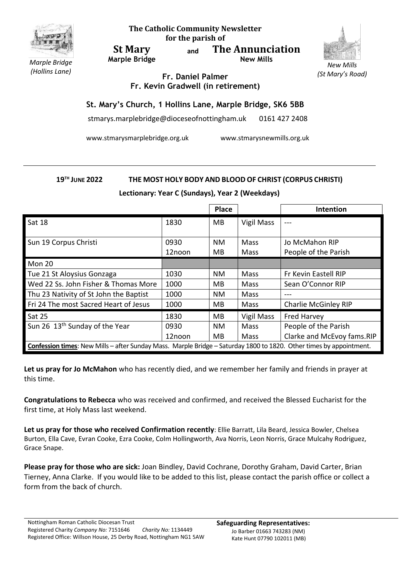

**The Catholic Community Newsletter for the parish of**

**St Mary Marple Bridge** **and The Annunciation New Mills**



*(St Mary's Road)*

*Marple Bridge (Hollins Lane)*

**Fr. Daniel Palmer Fr. Kevin Gradwell (in retirement)**

## **St. Mary's Church, 1 Hollins Lane, Marple Bridge, SK6 5BB**

stmarys.marplebridge@dioceseofnottingham.uk 0161 427 2408

www.stmarysmarplebridge.org.uk www.stmarysnewmills.org.uk

## **19TH JUNE 2022 THE MOST HOLY BODY AND BLOOD OF CHRIST (CORPUS CHRISTI)**

**Lectionary: Year C (Sundays), Year 2 (Weekdays)**

|                                                                                                                            |                | <b>Place</b>    |                            | Intention                              |
|----------------------------------------------------------------------------------------------------------------------------|----------------|-----------------|----------------------------|----------------------------------------|
| <b>Sat 18</b>                                                                                                              | 1830           | <b>MB</b>       | Vigil Mass                 |                                        |
| Sun 19 Corpus Christi                                                                                                      | 0930<br>12noon | <b>NM</b><br>MB | <b>Mass</b><br><b>Mass</b> | Jo McMahon RIP<br>People of the Parish |
| Mon 20                                                                                                                     |                |                 |                            |                                        |
| Tue 21 St Aloysius Gonzaga                                                                                                 | 1030           | <b>NM</b>       | <b>Mass</b>                | Fr Kevin Eastell RIP                   |
| Wed 22 Ss. John Fisher & Thomas More                                                                                       | 1000           | MB              | <b>Mass</b>                | Sean O'Connor RIP                      |
| Thu 23 Nativity of St John the Baptist                                                                                     | 1000           | <b>NM</b>       | Mass                       |                                        |
| Fri 24 The most Sacred Heart of Jesus                                                                                      | 1000           | MB.             | <b>Mass</b>                | Charlie McGinley RIP                   |
| Sat 25                                                                                                                     | 1830           | MB              | Vigil Mass                 | <b>Fred Harvey</b>                     |
| Sun 26 13 <sup>th</sup> Sunday of the Year                                                                                 | 0930           | <b>NM</b>       | <b>Mass</b>                | People of the Parish                   |
|                                                                                                                            | 12noon         | MB              | <b>Mass</b>                | Clarke and McEvoy fams.RIP             |
| <b>Confession times:</b> New Mills – after Sunday Mass. Marple Bridge – Saturday 1800 to 1820. Other times by appointment. |                |                 |                            |                                        |

**Let us pray for Jo McMahon** who has recently died, and we remember her family and friends in prayer at this time.

**Congratulations to Rebecca** who was received and confirmed, and received the Blessed Eucharist for the first time, at Holy Mass last weekend.

**Let us pray for those who received Confirmation recently**: Ellie Barratt, Lila Beard, Jessica Bowler, Chelsea Burton, Ella Cave, Evran Cooke, Ezra Cooke, Colm Hollingworth, Ava Norris, Leon Norris, Grace Mulcahy Rodriguez, Grace Snape.

**Please pray for those who are sick:** Joan Bindley, David Cochrane, Dorothy Graham, David Carter, Brian Tierney, Anna Clarke. If you would like to be added to this list, please contact the parish office or collect a form from the back of church.